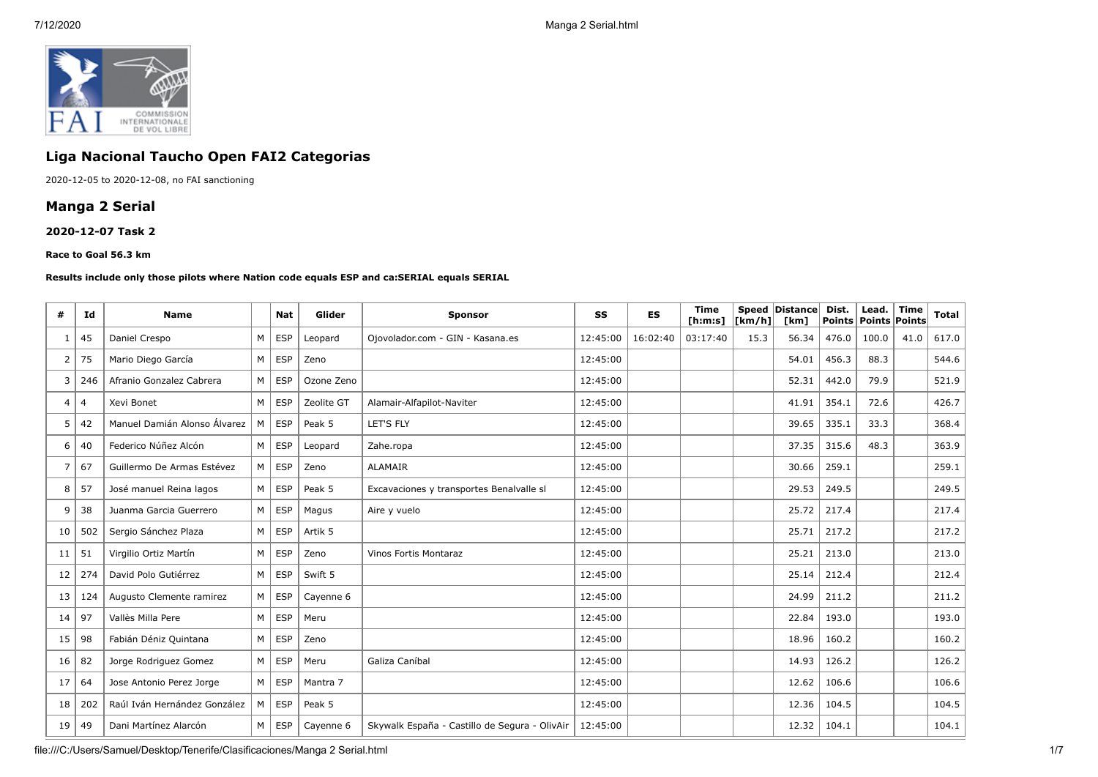

## **Liga Nacional Taucho Open FAI2 Categorias**

2020-12-05 to 2020-12-08, no FAI sanctioning

## **Manga 2 Serial**

#### **2020-12-07 Task 2**

#### **Race to Goal 56.3 km**

#### **Results include only those pilots where Nation code equals ESP and ca:SERIAL equals SERIAL**

| #  | Id  | <b>Name</b>                  |   | <b>Nat</b> | Glider     | <b>Sponsor</b>                                | <b>SS</b> | <b>ES</b> | <b>Time</b><br>[ <b>h</b> : <b>m</b> : <b>s</b> ] | [km/h] | Speed   Distance  <br>[km] | Dist.<br>Points | Lead.<br><b>Points Points</b> | <b>Time</b> | Total |
|----|-----|------------------------------|---|------------|------------|-----------------------------------------------|-----------|-----------|---------------------------------------------------|--------|----------------------------|-----------------|-------------------------------|-------------|-------|
|    | 45  | Daniel Crespo                | M | <b>ESP</b> | Leopard    | Ojovolador.com - GIN - Kasana.es              | 12:45:00  | 16:02:40  | 03:17:40                                          | 15.3   | 56.34                      | 476.0           | 100.0                         | 41.0        | 617.0 |
| 2  | 75  | Mario Diego García           | M | <b>ESP</b> | Zeno       |                                               | 12:45:00  |           |                                                   |        | 54.01                      | 456.3           | 88.3                          |             | 544.6 |
| 3  | 246 | Afranio Gonzalez Cabrera     | M | <b>ESP</b> | Ozone Zeno |                                               | 12:45:00  |           |                                                   |        | 52.31                      | 442.0           | 79.9                          |             | 521.9 |
| 4  | 4   | Xevi Bonet                   | M | <b>ESP</b> | Zeolite GT | Alamair-Alfapilot-Naviter                     | 12:45:00  |           |                                                   |        | 41.91                      | 354.1           | 72.6                          |             | 426.7 |
| 5  | 42  | Manuel Damián Alonso Álvarez | M | <b>ESP</b> | Peak 5     | LET'S FLY                                     | 12:45:00  |           |                                                   |        | 39.65                      | 335.1           | 33.3                          |             | 368.4 |
| 6  | 40  | Federico Núñez Alcón         | M | <b>ESP</b> | Leopard    | Zahe.ropa                                     | 12:45:00  |           |                                                   |        | 37.35                      | 315.6           | 48.3                          |             | 363.9 |
| 7  | 67  | Guillermo De Armas Estévez   | M | <b>ESP</b> | Zeno       | <b>ALAMAIR</b>                                | 12:45:00  |           |                                                   |        | 30.66                      | 259.1           |                               |             | 259.1 |
| 8  | 57  | José manuel Reina lagos      | M | <b>ESP</b> | Peak 5     | Excavaciones y transportes Benalvalle sl      | 12:45:00  |           |                                                   |        | 29.53                      | 249.5           |                               |             | 249.5 |
| 9  | 38  | Juanma Garcia Guerrero       | M | <b>ESP</b> | Magus      | Aire y vuelo                                  | 12:45:00  |           |                                                   |        | 25.72                      | 217.4           |                               |             | 217.4 |
| 10 | 502 | Sergio Sánchez Plaza         | M | <b>ESP</b> | Artik 5    |                                               | 12:45:00  |           |                                                   |        | 25.71                      | 217.2           |                               |             | 217.2 |
| 11 | 51  | Virgilio Ortiz Martín        | M | <b>ESP</b> | Zeno       | Vinos Fortis Montaraz                         | 12:45:00  |           |                                                   |        | 25.21                      | 213.0           |                               |             | 213.0 |
| 12 | 274 | David Polo Gutiérrez         | M | <b>ESP</b> | Swift 5    |                                               | 12:45:00  |           |                                                   |        | 25.14                      | 212.4           |                               |             | 212.4 |
| 13 | 124 | Augusto Clemente ramirez     | M | <b>ESP</b> | Cayenne 6  |                                               | 12:45:00  |           |                                                   |        | 24.99                      | 211.2           |                               |             | 211.2 |
| 14 | 97  | Vallès Milla Pere            | M | <b>ESP</b> | Meru       |                                               | 12:45:00  |           |                                                   |        | 22.84                      | 193.0           |                               |             | 193.0 |
| 15 | 98  | Fabián Déniz Quintana        | M | <b>ESP</b> | Zeno       |                                               | 12:45:00  |           |                                                   |        | 18.96                      | 160.2           |                               |             | 160.2 |
| 16 | 82  | Jorge Rodriguez Gomez        | M | <b>ESP</b> | Meru       | Galiza Caníbal                                | 12:45:00  |           |                                                   |        | 14.93                      | 126.2           |                               |             | 126.2 |
| 17 | 64  | Jose Antonio Perez Jorge     | M | <b>ESP</b> | Mantra 7   |                                               | 12:45:00  |           |                                                   |        | 12.62                      | 106.6           |                               |             | 106.6 |
| 18 | 202 | Raúl Iván Hernández González | M | <b>ESP</b> | Peak 5     |                                               | 12:45:00  |           |                                                   |        | 12.36                      | 104.5           |                               |             | 104.5 |
| 19 | 49  | Dani Martínez Alarcón        | M | <b>ESP</b> | Cayenne 6  | Skywalk España - Castillo de Segura - OlivAir | 12:45:00  |           |                                                   |        | 12.32                      | 104.1           |                               |             | 104.1 |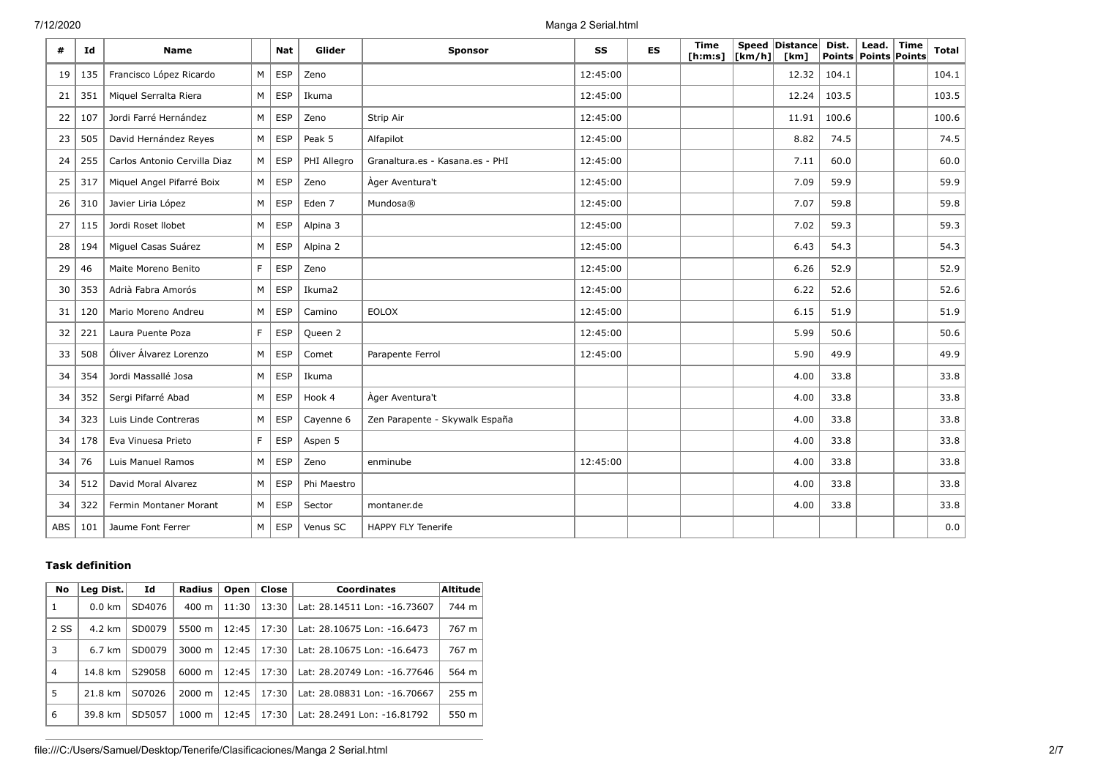| #   | Id  | <b>Name</b>                  |   | <b>Nat</b> | Glider      | Sponsor                         | <b>SS</b> | <b>ES</b> | <b>Time</b><br>[ <b>h</b> : <b>m</b> : <b>s</b> ] | $\lfloor \lfloor km/h \rfloor \rfloor$ | Speed Distance<br>[km] | Dist. | Lead.<br>Points   Points   Points | <b>Time</b> | <b>Total</b> |
|-----|-----|------------------------------|---|------------|-------------|---------------------------------|-----------|-----------|---------------------------------------------------|----------------------------------------|------------------------|-------|-----------------------------------|-------------|--------------|
| 19  | 135 | Francisco López Ricardo      | M | <b>ESP</b> | Zeno        |                                 | 12:45:00  |           |                                                   |                                        | 12.32                  | 104.1 |                                   |             | 104.1        |
| 21  | 351 | Miquel Serralta Riera        | M | <b>ESP</b> | Ikuma       |                                 | 12:45:00  |           |                                                   |                                        | 12.24                  | 103.5 |                                   |             | 103.5        |
| 22  | 107 | Jordi Farré Hernández        | M | <b>ESP</b> | Zeno        | Strip Air                       | 12:45:00  |           |                                                   |                                        | 11.91                  | 100.6 |                                   |             | 100.6        |
| 23  | 505 | David Hernández Reyes        | M | <b>ESP</b> | Peak 5      | Alfapilot                       | 12:45:00  |           |                                                   |                                        | 8.82                   | 74.5  |                                   |             | 74.5         |
| 24  | 255 | Carlos Antonio Cervilla Diaz | M | <b>ESP</b> | PHI Allegro | Granaltura.es - Kasana.es - PHI | 12:45:00  |           |                                                   |                                        | 7.11                   | 60.0  |                                   |             | 60.0         |
| 25  | 317 | Miquel Angel Pifarré Boix    | M | <b>ESP</b> | Zeno        | Ager Aventura't                 | 12:45:00  |           |                                                   |                                        | 7.09                   | 59.9  |                                   |             | 59.9         |
| 26  | 310 | Javier Liria López           | M | <b>ESP</b> | Eden 7      | Mundosa®                        | 12:45:00  |           |                                                   |                                        | 7.07                   | 59.8  |                                   |             | 59.8         |
| 27  | 115 | Jordi Roset Ilobet           | M | <b>ESP</b> | Alpina 3    |                                 | 12:45:00  |           |                                                   |                                        | 7.02                   | 59.3  |                                   |             | 59.3         |
| 28  | 194 | Miguel Casas Suárez          | M | <b>ESP</b> | Alpina 2    |                                 | 12:45:00  |           |                                                   |                                        | 6.43                   | 54.3  |                                   |             | 54.3         |
| 29  | 46  | Maite Moreno Benito          | F | <b>ESP</b> | Zeno        |                                 | 12:45:00  |           |                                                   |                                        | 6.26                   | 52.9  |                                   |             | 52.9         |
| 30  | 353 | Adrià Fabra Amorós           | M | <b>ESP</b> | Ikuma2      |                                 | 12:45:00  |           |                                                   |                                        | 6.22                   | 52.6  |                                   |             | 52.6         |
| 31  | 120 | Mario Moreno Andreu          | M | <b>ESP</b> | Camino      | <b>EOLOX</b>                    | 12:45:00  |           |                                                   |                                        | 6.15                   | 51.9  |                                   |             | 51.9         |
| 32  | 221 | Laura Puente Poza            | F | <b>ESP</b> | Queen 2     |                                 | 12:45:00  |           |                                                   |                                        | 5.99                   | 50.6  |                                   |             | 50.6         |
| 33  | 508 | Óliver Álvarez Lorenzo       | M | <b>ESP</b> | Comet       | Parapente Ferrol                | 12:45:00  |           |                                                   |                                        | 5.90                   | 49.9  |                                   |             | 49.9         |
| 34  | 354 | Jordi Massallé Josa          | M | <b>ESP</b> | Ikuma       |                                 |           |           |                                                   |                                        | 4.00                   | 33.8  |                                   |             | 33.8         |
| 34  | 352 | Sergi Pifarré Abad           | M | <b>ESP</b> | Hook 4      | Àger Aventura't                 |           |           |                                                   |                                        | 4.00                   | 33.8  |                                   |             | 33.8         |
| 34  | 323 | Luis Linde Contreras         | M | <b>ESP</b> | Cayenne 6   | Zen Parapente - Skywalk España  |           |           |                                                   |                                        | 4.00                   | 33.8  |                                   |             | 33.8         |
| 34  | 178 | Eva Vinuesa Prieto           | F | <b>ESP</b> | Aspen 5     |                                 |           |           |                                                   |                                        | 4.00                   | 33.8  |                                   |             | 33.8         |
| 34  | 76  | Luis Manuel Ramos            | M | <b>ESP</b> | Zeno        | enminube                        | 12:45:00  |           |                                                   |                                        | 4.00                   | 33.8  |                                   |             | 33.8         |
| 34  | 512 | David Moral Alvarez          | M | <b>ESP</b> | Phi Maestro |                                 |           |           |                                                   |                                        | 4.00                   | 33.8  |                                   |             | 33.8         |
| 34  | 322 | Fermin Montaner Morant       | M | <b>ESP</b> | Sector      | montaner.de                     |           |           |                                                   |                                        | 4.00                   | 33.8  |                                   |             | 33.8         |
| ABS | 101 | Jaume Font Ferrer            | M | <b>ESP</b> | Venus SC    | <b>HAPPY FLY Tenerife</b>       |           |           |                                                   |                                        |                        |       |                                   |             | 0.0          |

### **Task definition**

| No             | Leg Dist.        | Id     | <b>Radius</b>      | Open  | Close | <b>Coordinates</b>           | Altitude |
|----------------|------------------|--------|--------------------|-------|-------|------------------------------|----------|
| 1              | $0.0 \text{ km}$ | SD4076 | 400 m              | 11:30 | 13:30 | Lat: 28.14511 Lon: -16.73607 | 744 m    |
| 2 SS           | 4.2 km           | SD0079 | 5500 m             | 12:45 | 17:30 | Lat: 28.10675 Lon: -16.6473  | 767 m    |
| 3              | 6.7 km           | SD0079 | $3000 \; \text{m}$ | 12:45 | 17:30 | Lat: 28.10675 Lon: -16.6473  | 767 m    |
| $\overline{4}$ | 14.8 km          | S29058 | 6000 m             | 12:45 | 17:30 | Lat: 28.20749 Lon: -16.77646 | 564 m    |
| 5              | 21.8 km          | S07026 | $2000 \; \text{m}$ | 12:45 | 17:30 | Lat: 28.08831 Lon: -16.70667 | 255 m    |
| 6              | 39.8 km          | SD5057 | $1000 \; \text{m}$ | 12:45 | 17:30 | Lat: 28.2491 Lon: -16.81792  | 550 m    |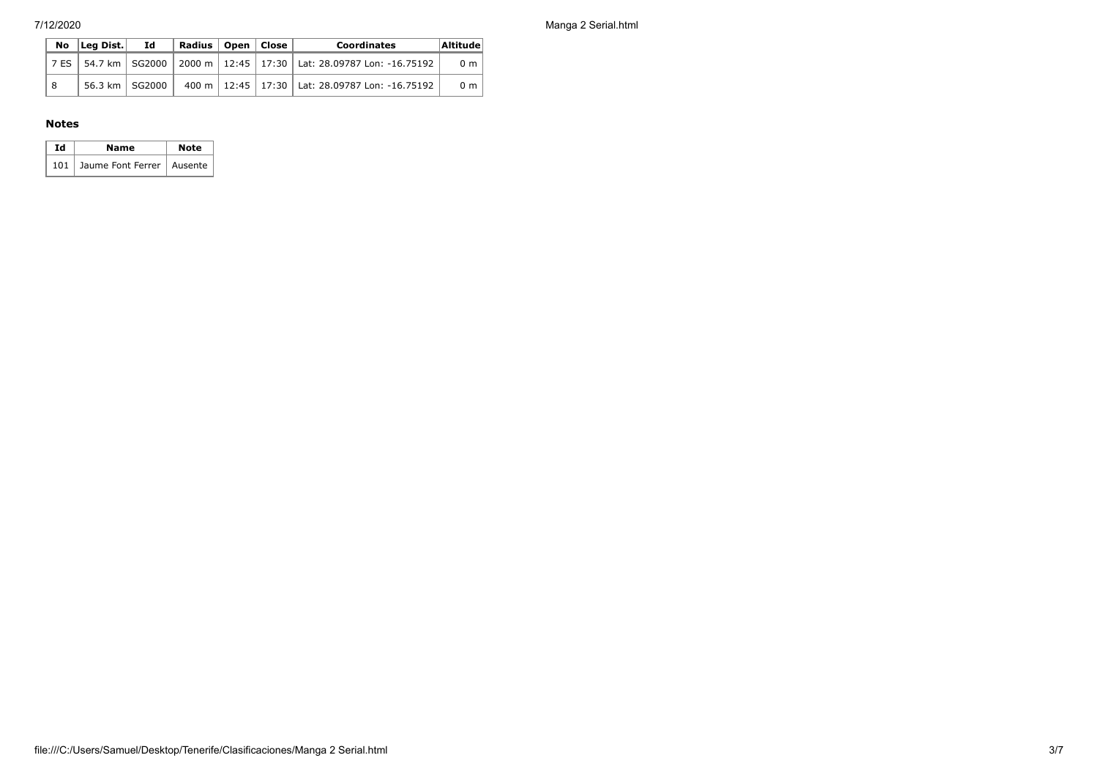7/12/2020 Manga 2 Serial.html

|     | $\overline{N}$ o $\overline{L}$ eq Dist. $\overline{L}$ | Id.            | ' Radius   Open   Close |  | <b>Coordinates</b>                                                              | Altitude       |
|-----|---------------------------------------------------------|----------------|-------------------------|--|---------------------------------------------------------------------------------|----------------|
|     |                                                         |                |                         |  | 7 ES   54.7 km   SG2000   2000 m   12:45   17:30   Lat: 28.09787 Lon: -16.75192 | 0 <sub>m</sub> |
| í 8 |                                                         | 56.3 km SG2000 |                         |  | 400 m   12:45   17:30   Lat: 28.09787 Lon: -16.75192                            | 0 <sub>m</sub> |

#### **Notes**

| Ιd | Name                            | <b>Note</b> |
|----|---------------------------------|-------------|
|    | 101 Jaume Font Ferrer   Ausente |             |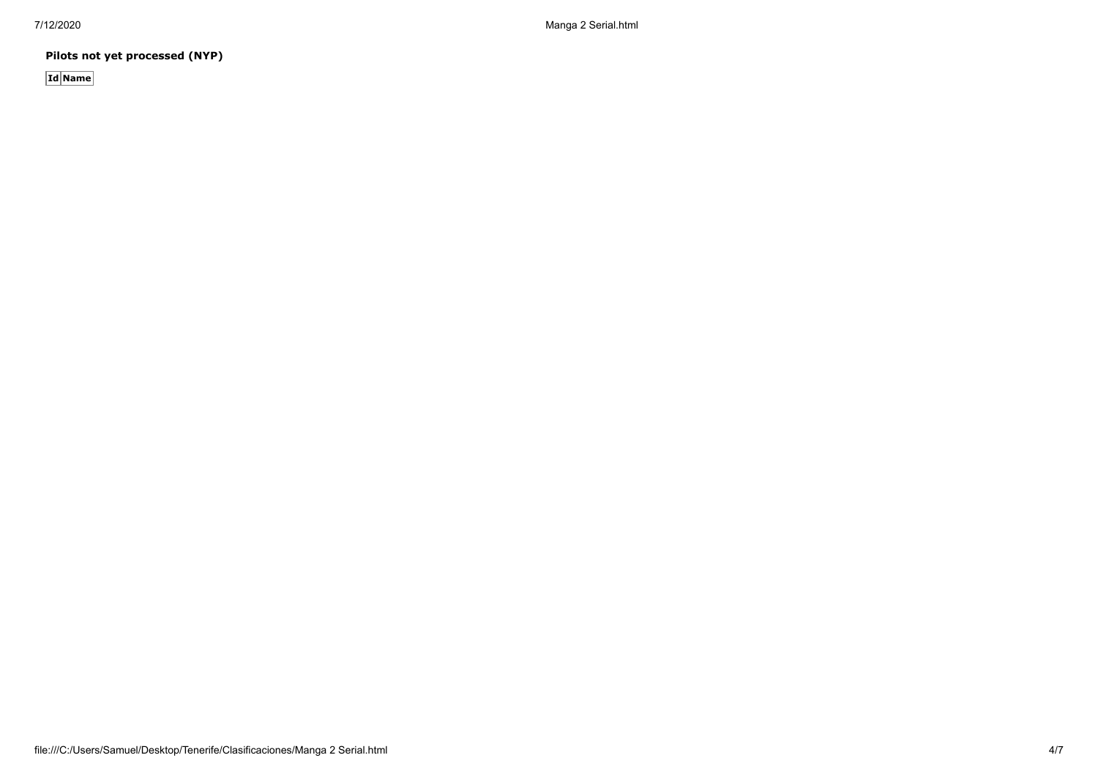**Pilots not yet processed (NYP)**

**Id Name**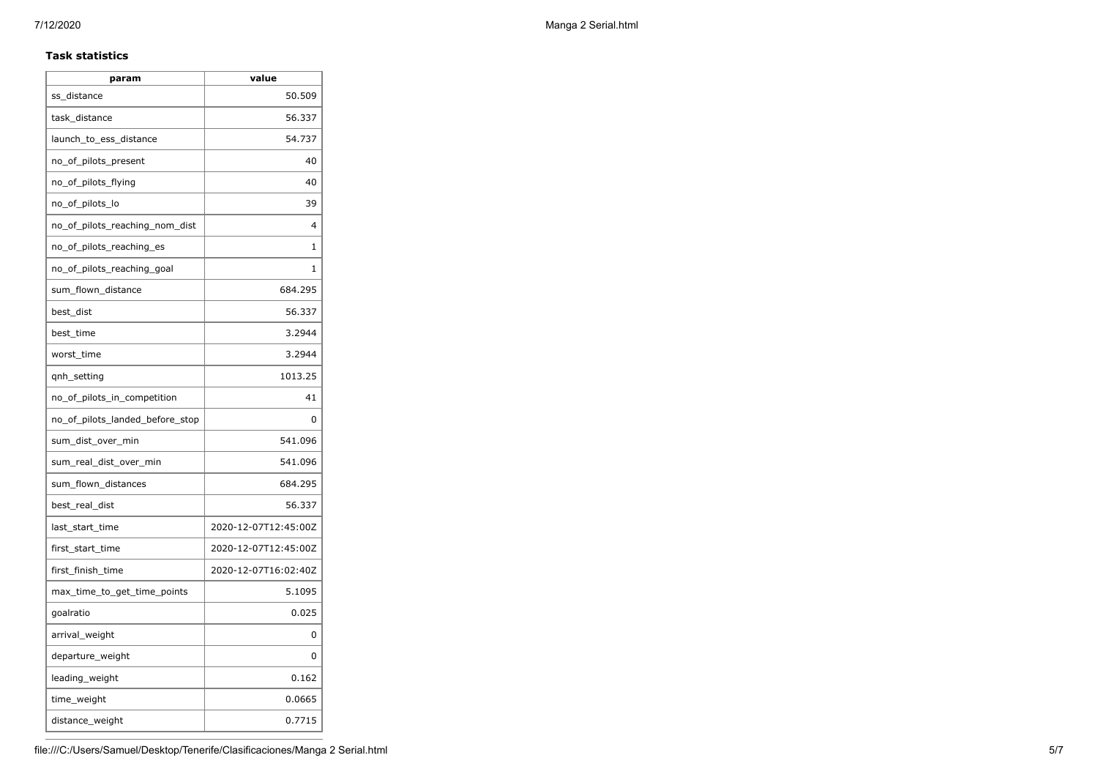#### **Task statistics**

| param                           | value                |
|---------------------------------|----------------------|
| ss distance                     | 50.509               |
| task_distance                   | 56.337               |
| launch_to_ess_distance          | 54.737               |
| no_of_pilots_present            | 40                   |
| no_of_pilots_flying             | 40                   |
| no_of_pilots_lo                 | 39                   |
| no_of_pilots_reaching_nom_dist  | 4                    |
| no_of_pilots_reaching_es        | 1                    |
| no_of_pilots_reaching_goal      | 1                    |
| sum_flown_distance              | 684.295              |
| best dist                       | 56.337               |
| best_time                       | 3.2944               |
| worst_time                      | 3.2944               |
| qnh_setting                     | 1013.25              |
| no_of_pilots_in_competition     | 41                   |
| no of pilots landed before stop | 0                    |
| sum_dist_over_min               | 541.096              |
| sum_real_dist_over_min          | 541.096              |
| sum_flown_distances             | 684.295              |
| best_real_dist                  | 56.337               |
| last start time                 | 2020-12-07T12:45:00Z |
| first_start_time                | 2020-12-07T12:45:00Z |
| first_finish_time               | 2020-12-07T16:02:40Z |
| max_time_to_get_time_points     | 5.1095               |
| goalratio                       | 0.025                |
| arrival_weight                  | 0                    |
| departure_weight                | 0                    |
| leading_weight                  | 0.162                |
| time_weight                     | 0.0665               |
| distance_weight                 | 0.7715               |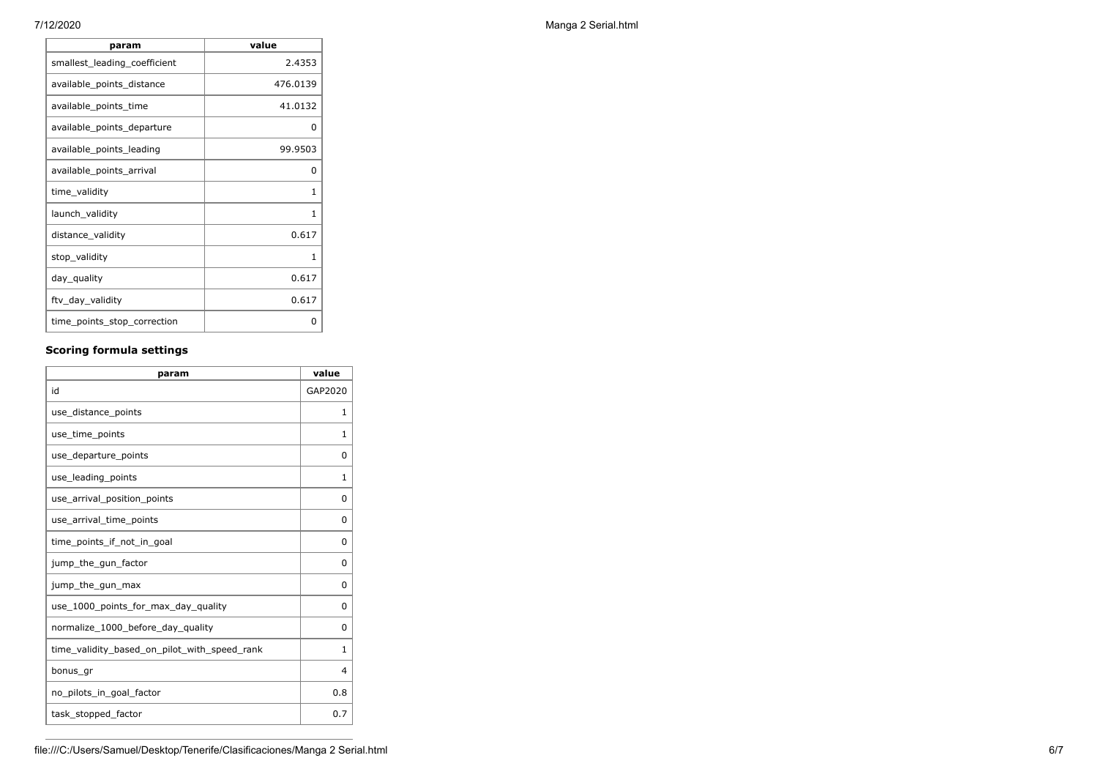| param                        | value    |
|------------------------------|----------|
| smallest_leading_coefficient | 2.4353   |
| available_points_distance    | 476.0139 |
| available_points_time        | 41.0132  |
| available_points_departure   | 0        |
| available points leading     | 99.9503  |
| available_points_arrival     | 0        |
| time_validity                | 1        |
| launch_validity              | 1        |
| distance_validity            | 0.617    |
| stop_validity                | 1        |
| day_quality                  | 0.617    |
| ftv_day_validity             | 0.617    |
| time_points_stop_correction  | 0        |

## **Scoring formula settings**

| param                                        | value        |
|----------------------------------------------|--------------|
| id                                           | GAP2020      |
| use_distance_points                          | 1            |
| use_time_points                              | 1            |
| use_departure_points                         | $\Omega$     |
| use_leading_points                           | 1            |
| use_arrival_position_points                  | 0            |
| use_arrival_time_points                      | 0            |
| time points if not in goal                   | 0            |
| jump_the_gun_factor                          | $\Omega$     |
| jump_the_gun_max                             | 0            |
| use_1000_points_for_max_day_quality          | 0            |
| normalize_1000_before_day_quality            | $\Omega$     |
| time_validity_based_on_pilot_with_speed_rank | $\mathbf{1}$ |
| bonus gr                                     | 4            |
| no_pilots_in_goal_factor                     | 0.8          |
| task_stopped_factor                          | 0.7          |